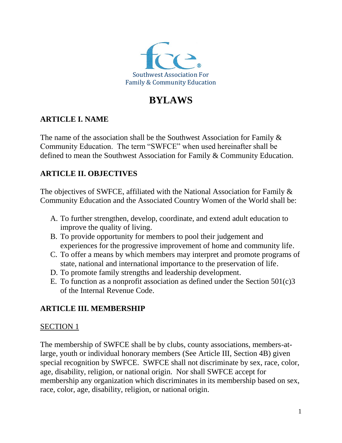

# **BYLAWS**

# **ARTICLE I. NAME**

The name of the association shall be the Southwest Association for Family  $\&$ Community Education. The term "SWFCE" when used hereinafter shall be defined to mean the Southwest Association for Family & Community Education.

# **ARTICLE II. OBJECTIVES**

The objectives of SWFCE, affiliated with the National Association for Family & Community Education and the Associated Country Women of the World shall be:

- A. To further strengthen, develop, coordinate, and extend adult education to improve the quality of living.
- B. To provide opportunity for members to pool their judgement and experiences for the progressive improvement of home and community life.
- C. To offer a means by which members may interpret and promote programs of state, national and international importance to the preservation of life.
- D. To promote family strengths and leadership development.
- E. To function as a nonprofit association as defined under the Section  $501(c)3$ of the Internal Revenue Code.

# **ARTICLE III. MEMBERSHIP**

# SECTION 1

The membership of SWFCE shall be by clubs, county associations, members-atlarge, youth or individual honorary members (See Article III, Section 4B) given special recognition by SWFCE. SWFCE shall not discriminate by sex, race, color, age, disability, religion, or national origin. Nor shall SWFCE accept for membership any organization which discriminates in its membership based on sex, race, color, age, disability, religion, or national origin.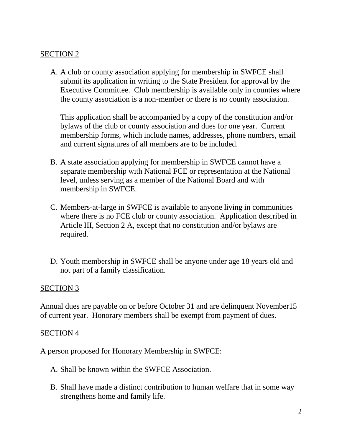A. A club or county association applying for membership in SWFCE shall submit its application in writing to the State President for approval by the Executive Committee. Club membership is available only in counties where the county association is a non-member or there is no county association.

This application shall be accompanied by a copy of the constitution and/or bylaws of the club or county association and dues for one year. Current membership forms, which include names, addresses, phone numbers, email and current signatures of all members are to be included.

- B. A state association applying for membership in SWFCE cannot have a separate membership with National FCE or representation at the National level, unless serving as a member of the National Board and with membership in SWFCE.
- C. Members-at-large in SWFCE is available to anyone living in communities where there is no FCE club or county association. Application described in Article III, Section 2 A, except that no constitution and/or bylaws are required.
- D. Youth membership in SWFCE shall be anyone under age 18 years old and not part of a family classification.

#### SECTION 3

Annual dues are payable on or before October 31 and are delinquent November15 of current year. Honorary members shall be exempt from payment of dues.

#### SECTION 4

A person proposed for Honorary Membership in SWFCE:

- A. Shall be known within the SWFCE Association.
- B. Shall have made a distinct contribution to human welfare that in some way strengthens home and family life.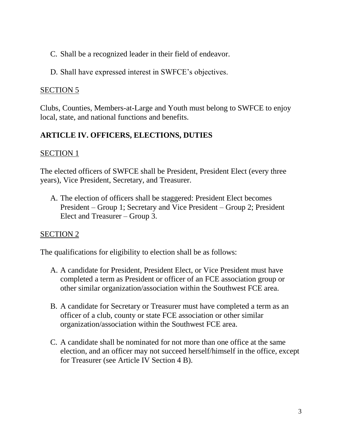- C. Shall be a recognized leader in their field of endeavor.
- D. Shall have expressed interest in SWFCE's objectives.

Clubs, Counties, Members-at-Large and Youth must belong to SWFCE to enjoy local, state, and national functions and benefits.

# **ARTICLE IV. OFFICERS, ELECTIONS, DUTIES**

# SECTION 1

The elected officers of SWFCE shall be President, President Elect (every three years), Vice President, Secretary, and Treasurer.

A. The election of officers shall be staggered: President Elect becomes President – Group 1; Secretary and Vice President – Group 2; President Elect and Treasurer – Group 3.

# SECTION 2

The qualifications for eligibility to election shall be as follows:

- A. A candidate for President, President Elect, or Vice President must have completed a term as President or officer of an FCE association group or other similar organization/association within the Southwest FCE area.
- B. A candidate for Secretary or Treasurer must have completed a term as an officer of a club, county or state FCE association or other similar organization/association within the Southwest FCE area.
- C. A candidate shall be nominated for not more than one office at the same election, and an officer may not succeed herself/himself in the office, except for Treasurer (see Article IV Section 4 B).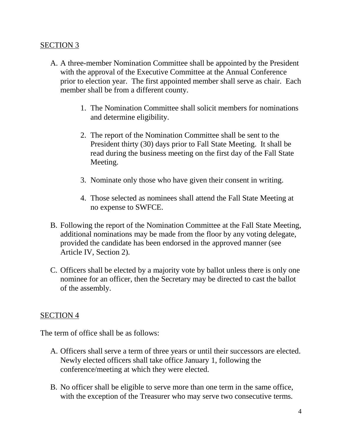- A. A three-member Nomination Committee shall be appointed by the President with the approval of the Executive Committee at the Annual Conference prior to election year. The first appointed member shall serve as chair. Each member shall be from a different county.
	- 1. The Nomination Committee shall solicit members for nominations and determine eligibility.
	- 2. The report of the Nomination Committee shall be sent to the President thirty (30) days prior to Fall State Meeting. It shall be read during the business meeting on the first day of the Fall State Meeting.
	- 3. Nominate only those who have given their consent in writing.
	- 4. Those selected as nominees shall attend the Fall State Meeting at no expense to SWFCE.
- B. Following the report of the Nomination Committee at the Fall State Meeting, additional nominations may be made from the floor by any voting delegate, provided the candidate has been endorsed in the approved manner (see Article IV, Section 2).
- C. Officers shall be elected by a majority vote by ballot unless there is only one nominee for an officer, then the Secretary may be directed to cast the ballot of the assembly.

#### SECTION 4

The term of office shall be as follows:

- A. Officers shall serve a term of three years or until their successors are elected. Newly elected officers shall take office January 1, following the conference/meeting at which they were elected.
- B. No officer shall be eligible to serve more than one term in the same office, with the exception of the Treasurer who may serve two consecutive terms.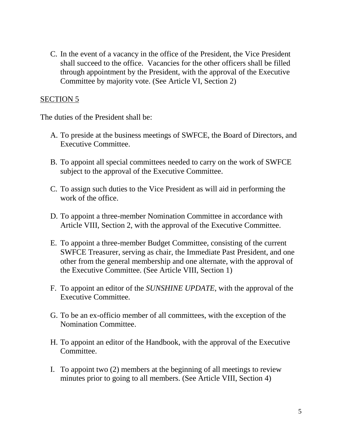C. In the event of a vacancy in the office of the President, the Vice President shall succeed to the office. Vacancies for the other officers shall be filled through appointment by the President, with the approval of the Executive Committee by majority vote. (See Article VI, Section 2)

#### SECTION 5

The duties of the President shall be:

- A. To preside at the business meetings of SWFCE, the Board of Directors, and Executive Committee.
- B. To appoint all special committees needed to carry on the work of SWFCE subject to the approval of the Executive Committee.
- C. To assign such duties to the Vice President as will aid in performing the work of the office.
- D. To appoint a three-member Nomination Committee in accordance with Article VIII, Section 2, with the approval of the Executive Committee.
- E. To appoint a three-member Budget Committee, consisting of the current SWFCE Treasurer, serving as chair, the Immediate Past President, and one other from the general membership and one alternate, with the approval of the Executive Committee. (See Article VIII, Section 1)
- F. To appoint an editor of the *SUNSHINE UPDATE*, with the approval of the Executive Committee.
- G. To be an ex-officio member of all committees, with the exception of the Nomination Committee.
- H. To appoint an editor of the Handbook, with the approval of the Executive Committee.
- I. To appoint two (2) members at the beginning of all meetings to review minutes prior to going to all members. (See Article VIII, Section 4)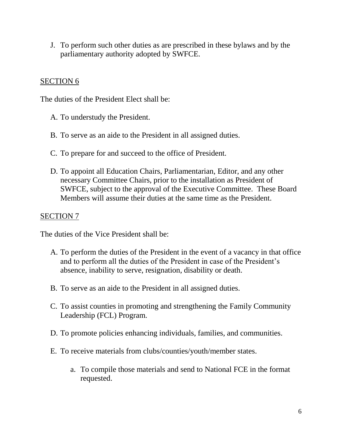J. To perform such other duties as are prescribed in these bylaws and by the parliamentary authority adopted by SWFCE.

#### SECTION 6

The duties of the President Elect shall be:

- A. To understudy the President.
- B. To serve as an aide to the President in all assigned duties.
- C. To prepare for and succeed to the office of President.
- D. To appoint all Education Chairs, Parliamentarian, Editor, and any other necessary Committee Chairs, prior to the installation as President of SWFCE, subject to the approval of the Executive Committee. These Board Members will assume their duties at the same time as the President.

#### SECTION 7

The duties of the Vice President shall be:

- A. To perform the duties of the President in the event of a vacancy in that office and to perform all the duties of the President in case of the President's absence, inability to serve, resignation, disability or death.
- B. To serve as an aide to the President in all assigned duties.
- C. To assist counties in promoting and strengthening the Family Community Leadership (FCL) Program.
- D. To promote policies enhancing individuals, families, and communities.
- E. To receive materials from clubs/counties/youth/member states.
	- a. To compile those materials and send to National FCE in the format requested.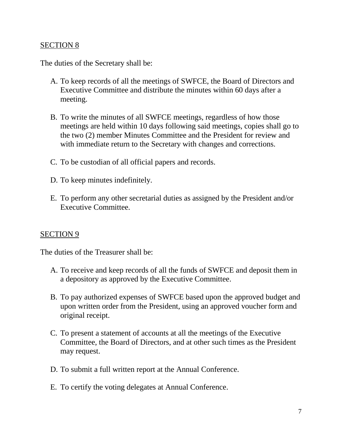The duties of the Secretary shall be:

- A. To keep records of all the meetings of SWFCE, the Board of Directors and Executive Committee and distribute the minutes within 60 days after a meeting.
- B. To write the minutes of all SWFCE meetings, regardless of how those meetings are held within 10 days following said meetings, copies shall go to the two (2) member Minutes Committee and the President for review and with immediate return to the Secretary with changes and corrections.
- C. To be custodian of all official papers and records.
- D. To keep minutes indefinitely.
- E. To perform any other secretarial duties as assigned by the President and/or Executive Committee.

#### SECTION 9

The duties of the Treasurer shall be:

- A. To receive and keep records of all the funds of SWFCE and deposit them in a depository as approved by the Executive Committee.
- B. To pay authorized expenses of SWFCE based upon the approved budget and upon written order from the President, using an approved voucher form and original receipt.
- C. To present a statement of accounts at all the meetings of the Executive Committee, the Board of Directors, and at other such times as the President may request.
- D. To submit a full written report at the Annual Conference.
- E. To certify the voting delegates at Annual Conference.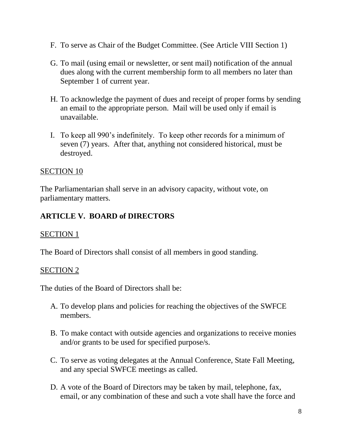- F. To serve as Chair of the Budget Committee. (See Article VIII Section 1)
- G. To mail (using email or newsletter, or sent mail) notification of the annual dues along with the current membership form to all members no later than September 1 of current year.
- H. To acknowledge the payment of dues and receipt of proper forms by sending an email to the appropriate person. Mail will be used only if email is unavailable.
- I. To keep all 990's indefinitely. To keep other records for a minimum of seven (7) years. After that, anything not considered historical, must be destroyed.

The Parliamentarian shall serve in an advisory capacity, without vote, on parliamentary matters.

# **ARTICLE V. BOARD of DIRECTORS**

### SECTION 1

The Board of Directors shall consist of all members in good standing.

### SECTION 2

The duties of the Board of Directors shall be:

- A. To develop plans and policies for reaching the objectives of the SWFCE members.
- B. To make contact with outside agencies and organizations to receive monies and/or grants to be used for specified purpose/s.
- C. To serve as voting delegates at the Annual Conference, State Fall Meeting, and any special SWFCE meetings as called.
- D. A vote of the Board of Directors may be taken by mail, telephone, fax, email, or any combination of these and such a vote shall have the force and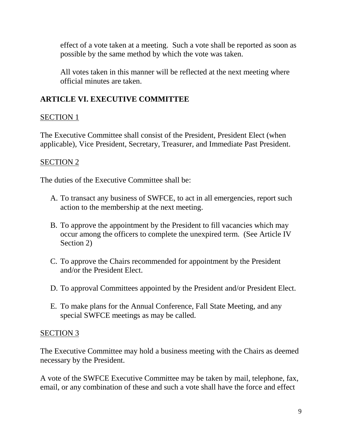effect of a vote taken at a meeting. Such a vote shall be reported as soon as possible by the same method by which the vote was taken.

All votes taken in this manner will be reflected at the next meeting where official minutes are taken.

# **ARTICLE VI. EXECUTIVE COMMITTEE**

### SECTION 1

The Executive Committee shall consist of the President, President Elect (when applicable), Vice President, Secretary, Treasurer, and Immediate Past President.

### SECTION 2

The duties of the Executive Committee shall be:

- A. To transact any business of SWFCE, to act in all emergencies, report such action to the membership at the next meeting.
- B. To approve the appointment by the President to fill vacancies which may occur among the officers to complete the unexpired term. (See Article IV Section 2)
- C. To approve the Chairs recommended for appointment by the President and/or the President Elect.
- D. To approval Committees appointed by the President and/or President Elect.
- E. To make plans for the Annual Conference, Fall State Meeting, and any special SWFCE meetings as may be called.

### SECTION 3

The Executive Committee may hold a business meeting with the Chairs as deemed necessary by the President.

A vote of the SWFCE Executive Committee may be taken by mail, telephone, fax, email, or any combination of these and such a vote shall have the force and effect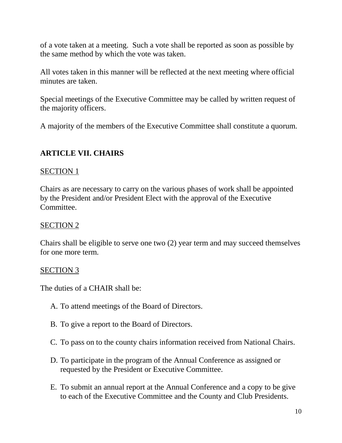of a vote taken at a meeting. Such a vote shall be reported as soon as possible by the same method by which the vote was taken.

All votes taken in this manner will be reflected at the next meeting where official minutes are taken.

Special meetings of the Executive Committee may be called by written request of the majority officers.

A majority of the members of the Executive Committee shall constitute a quorum.

# **ARTICLE VII. CHAIRS**

#### SECTION 1

Chairs as are necessary to carry on the various phases of work shall be appointed by the President and/or President Elect with the approval of the Executive Committee.

### SECTION 2

Chairs shall be eligible to serve one two (2) year term and may succeed themselves for one more term.

### SECTION 3

The duties of a CHAIR shall be:

- A. To attend meetings of the Board of Directors.
- B. To give a report to the Board of Directors.
- C. To pass on to the county chairs information received from National Chairs.
- D. To participate in the program of the Annual Conference as assigned or requested by the President or Executive Committee.
- E. To submit an annual report at the Annual Conference and a copy to be give to each of the Executive Committee and the County and Club Presidents.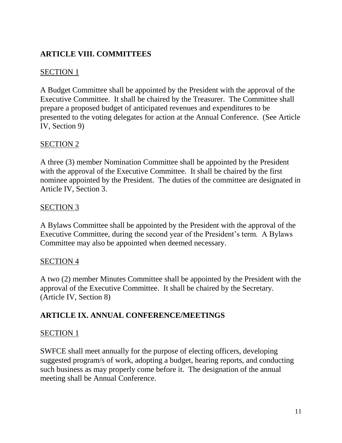# **ARTICLE VIII. COMMITTEES**

### SECTION 1

A Budget Committee shall be appointed by the President with the approval of the Executive Committee. It shall be chaired by the Treasurer. The Committee shall prepare a proposed budget of anticipated revenues and expenditures to be presented to the voting delegates for action at the Annual Conference. (See Article IV, Section 9)

### SECTION 2

A three (3) member Nomination Committee shall be appointed by the President with the approval of the Executive Committee. It shall be chaired by the first nominee appointed by the President. The duties of the committee are designated in Article IV, Section 3.

#### SECTION 3

A Bylaws Committee shall be appointed by the President with the approval of the Executive Committee, during the second year of the President's term. A Bylaws Committee may also be appointed when deemed necessary.

### SECTION 4

A two (2) member Minutes Committee shall be appointed by the President with the approval of the Executive Committee. It shall be chaired by the Secretary. (Article IV, Section 8)

### **ARTICLE IX. ANNUAL CONFERENCE/MEETINGS**

#### SECTION 1

SWFCE shall meet annually for the purpose of electing officers, developing suggested program/s of work, adopting a budget, hearing reports, and conducting such business as may properly come before it. The designation of the annual meeting shall be Annual Conference.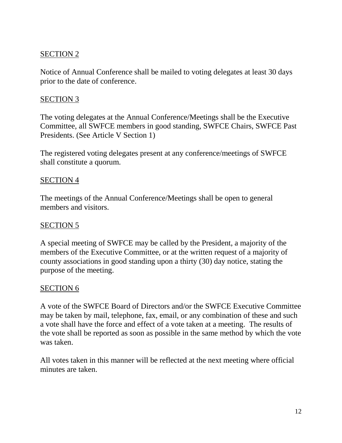Notice of Annual Conference shall be mailed to voting delegates at least 30 days prior to the date of conference.

#### SECTION 3

The voting delegates at the Annual Conference/Meetings shall be the Executive Committee, all SWFCE members in good standing, SWFCE Chairs, SWFCE Past Presidents. (See Article V Section 1)

The registered voting delegates present at any conference/meetings of SWFCE shall constitute a quorum.

#### SECTION 4

The meetings of the Annual Conference/Meetings shall be open to general members and visitors.

#### SECTION<sub>5</sub>

A special meeting of SWFCE may be called by the President, a majority of the members of the Executive Committee, or at the written request of a majority of county associations in good standing upon a thirty (30) day notice, stating the purpose of the meeting.

#### SECTION 6

A vote of the SWFCE Board of Directors and/or the SWFCE Executive Committee may be taken by mail, telephone, fax, email, or any combination of these and such a vote shall have the force and effect of a vote taken at a meeting. The results of the vote shall be reported as soon as possible in the same method by which the vote was taken.

All votes taken in this manner will be reflected at the next meeting where official minutes are taken.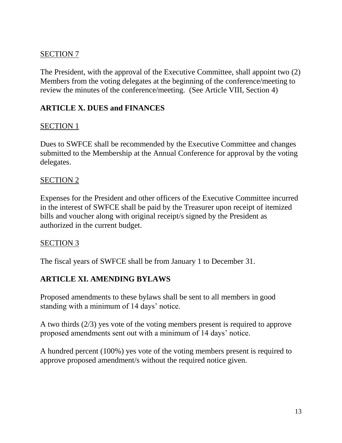The President, with the approval of the Executive Committee, shall appoint two (2) Members from the voting delegates at the beginning of the conference/meeting to review the minutes of the conference/meeting. (See Article VIII, Section 4)

### **ARTICLE X. DUES and FINANCES**

### SECTION 1

Dues to SWFCE shall be recommended by the Executive Committee and changes submitted to the Membership at the Annual Conference for approval by the voting delegates.

#### SECTION 2

Expenses for the President and other officers of the Executive Committee incurred in the interest of SWFCE shall be paid by the Treasurer upon receipt of itemized bills and voucher along with original receipt/s signed by the President as authorized in the current budget.

#### SECTION 3

The fiscal years of SWFCE shall be from January 1 to December 31.

# **ARTICLE XI. AMENDING BYLAWS**

Proposed amendments to these bylaws shall be sent to all members in good standing with a minimum of 14 days' notice.

A two thirds (2/3) yes vote of the voting members present is required to approve proposed amendments sent out with a minimum of 14 days' notice.

A hundred percent (100%) yes vote of the voting members present is required to approve proposed amendment/s without the required notice given.